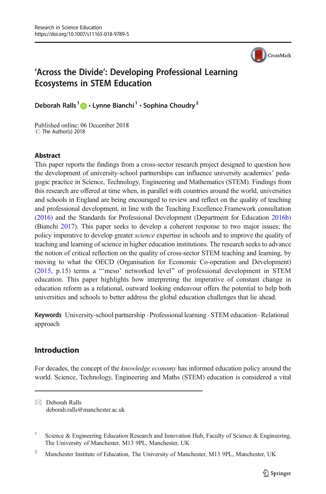

# 'Across the Divide': Developing Professional Learning Ecosystems in STEM Education

Deborah Ralls<sup>1</sup>  $\mathbf{D} \cdot$  Lynne Bianchi<sup>1</sup>  $\cdot$  Sophina Choudry<sup>2</sup>

Published online: 06 December 2018 C The Author(s) 2018

### **Abstract**

This paper reports the findings from a cross-sector research project designed to question how the development of university-school partnerships can influence university academics' pedagogic practice in Science, Technology, Engineering and Mathematics (STEM). Findings from this research are offered at time when, in parallel with countries around the world, universities and schools in England are being encouraged to review and reflect on the quality of teaching and professional development, in line with the Teaching Excellence Framework consultation ([2016](#page-17-0)) and the Standards for Professional Development (Department for Education [2016b\)](#page-17-0) (Bianchi [2017\)](#page-17-0). This paper seeks to develop a coherent response to two major issues; the policy imperative to develop greater *science* expertise in schools and to improve the quality of teaching and learning of science in higher education institutions. The research seeks to advance the notion of critical reflection on the quality of cross-sector STEM teaching and learning, by moving to what the OECD (Organisation for Economic Co-operation and Development)  $(2015, p.15)$  $(2015, p.15)$  $(2015, p.15)$  terms a "neso' networked level" of professional development in STEM education. This paper highlights how interpreting the imperative of constant change in education reform as a relational, outward looking endeavour offers the potential to help both universities and schools to better address the global education challenges that lie ahead.

Keywords University-school partnership . Professional learning . STEM education . Relational approach

## Introduction

For decades, the concept of the *knowledge economy* has informed education policy around the world. Science, Technology, Engineering and Maths (STEM) education is considered a vital

 $\boxtimes$  Deborah Ralls [deborah.ralls@manchester.ac.uk](mailto:deborah.ralls@manchester.ac.uk)

<sup>&</sup>lt;sup>1</sup> Science & Engineering Education Research and Innovation Hub, Faculty of Science & Engineering, The University of Manchester, M13 9PL, Manchester, UK

<sup>&</sup>lt;sup>2</sup> Manchester Institute of Education, The University of Manchester, M13 9PL, Manchester, UK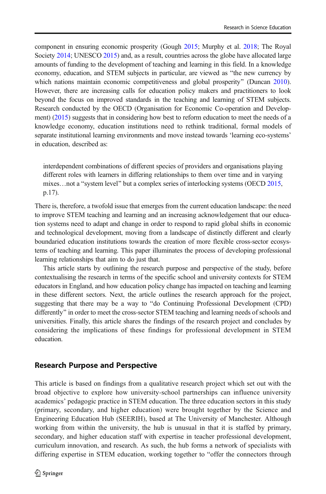component in ensuring economic prosperity (Gough [2015;](#page-17-0) Murphy et al. [2018;](#page-18-0) The Royal Society [2014](#page-18-0); UNESCO [2015\)](#page-18-0) and, as a result, countries across the globe have allocated large amounts of funding to the development of teaching and learning in this field. In a knowledge economy, education, and STEM subjects in particular, are viewed as "the new currency by which nations maintain economic competitiveness and global prosperity" (Duncan [2010](#page-17-0)). However, there are increasing calls for education policy makers and practitioners to look beyond the focus on improved standards in the teaching and learning of STEM subjects. Research conducted by the OECD (Organisation for Economic Co-operation and Develop-ment) [\(2015\)](#page-18-0) suggests that in considering how best to reform education to meet the needs of a knowledge economy, education institutions need to rethink traditional, formal models of separate institutional learning environments and move instead towards 'learning eco-systems' in education, described as:

interdependent combinations of different species of providers and organisations playing different roles with learners in differing relationships to them over time and in varying mixes...not a "system level" but a complex series of interlocking systems (OECD [2015,](#page-18-0) p.17).

There is, therefore, a twofold issue that emerges from the current education landscape: the need to improve STEM teaching and learning and an increasing acknowledgement that our education systems need to adapt and change in order to respond to rapid global shifts in economic and technological development, moving from a landscape of distinctly different and clearly boundaried education institutions towards the creation of more flexible cross-sector ecosystems of teaching and learning. This paper illuminates the process of developing professional learning relationships that aim to do just that.

This article starts by outlining the research purpose and perspective of the study, before contextualising the research in terms of the specific school and university contexts for STEM educators in England, and how education policy change has impacted on teaching and learning in these different sectors. Next, the article outlines the research approach for the project, suggesting that there may be a way to "do Continuing Professional Development (CPD) differently" in order to meet the cross-sector STEM teaching and learning needs of schools and universities. Finally, this article shares the findings of the research project and concludes by considering the implications of these findings for professional development in STEM education.

## Research Purpose and Perspective

This article is based on findings from a qualitative research project which set out with the broad objective to explore how university-school partnerships can influence university academics' pedagogic practice in STEM education. The three education sectors in this study (primary, secondary, and higher education) were brought together by the Science and Engineering Education Hub (SEERIH), based at The University of Manchester. Although working from within the university, the hub is unusual in that it is staffed by primary, secondary, and higher education staff with expertise in teacher professional development, curriculum innovation, and research. As such, the hub forms a network of specialists with differing expertise in STEM education, working together to "offer the connectors through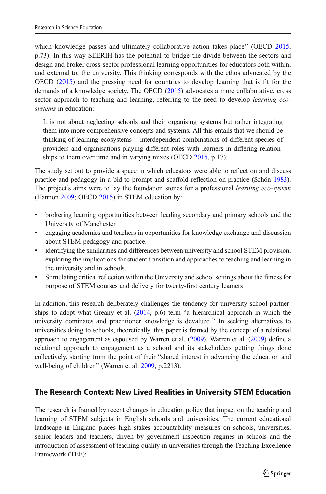which knowledge passes and ultimately collaborative action takes place" (OECD [2015](#page-18-0), p.73). In this way SEERIH has the potential to bridge the divide between the sectors and design and broker cross-sector professional learning opportunities for educators both within, and external to, the university. This thinking corresponds with the ethos advocated by the OECD [\(2015](#page-18-0)) and the pressing need for countries to develop learning that is fit for the demands of a knowledge society. The OECD [\(2015](#page-18-0)) advocates a more collaborative, cross sector approach to teaching and learning, referring to the need to develop *learning eco*systems in education:

It is not about neglecting schools and their organising systems but rather integrating them into more comprehensive concepts and systems. All this entails that we should be thinking of learning ecosystems – interdependent combinations of different species of providers and organisations playing different roles with learners in differing relation-ships to them over time and in varying mixes (OECD [2015](#page-18-0), p.17).

The study set out to provide a space in which educators were able to reflect on and discuss practice and pedagogy in a bid to prompt and scaffold reflection-on-practice (Schön [1983](#page-18-0)). The project's aims were to lay the foundation stones for a professional *learning eco-system* (Hannon [2009](#page-18-0); OECD [2015](#page-18-0)) in STEM education by:

- & brokering learning opportunities between leading secondary and primary schools and the University of Manchester
- & engaging academics and teachers in opportunities for knowledge exchange and discussion about STEM pedagogy and practice.
- identifying the similarities and differences between university and school STEM provision, exploring the implications for student transition and approaches to teaching and learning in the university and in schools.
- & Stimulating critical reflection within the University and school settings about the fitness for purpose of STEM courses and delivery for twenty-first century learners

In addition, this research deliberately challenges the tendency for university-school partnerships to adopt what Greany et al.  $(2014, p.6)$  $(2014, p.6)$  $(2014, p.6)$  term "a hierarchical approach in which the university dominates and practitioner knowledge is devalued.^ In seeking alternatives to universities doing to schools, theoretically, this paper is framed by the concept of a relational approach to engagement as espoused by Warren et al. [\(2009\)](#page-18-0). Warren et al. ([2009](#page-18-0)) define a relational approach to engagement as a school and its stakeholders getting things done collectively, starting from the point of their "shared interest in advancing the education and well-being of children" (Warren et al. [2009](#page-18-0), p.2213).

## The Research Context: New Lived Realities in University STEM Education

The research is framed by recent changes in education policy that impact on the teaching and learning of STEM subjects in English schools and universities. The current educational landscape in England places high stakes accountability measures on schools, universities, senior leaders and teachers, driven by government inspection regimes in schools and the introduction of assessment of teaching quality in universities through the Teaching Excellence Framework (TEF):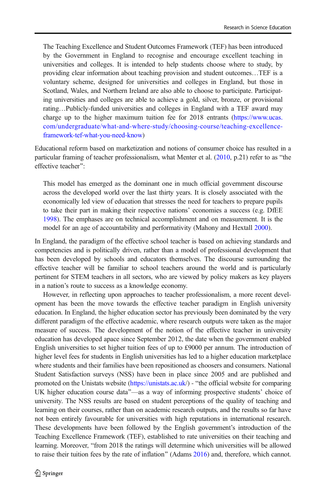The Teaching Excellence and Student Outcomes Framework (TEF) has been introduced by the Government in England to recognise and encourage excellent teaching in universities and colleges. It is intended to help students choose where to study, by providing clear information about teaching provision and student outcomes…TEF is a voluntary scheme, designed for universities and colleges in England, but those in Scotland, Wales, and Northern Ireland are also able to choose to participate. Participating universities and colleges are able to achieve a gold, silver, bronze, or provisional rating…Publicly-funded universities and colleges in England with a TEF award may charge up to the higher maximum tuition fee for 2018 entrants [\(https://www.ucas.](https://www.ucas.com/undergraduate/what-and-where-study/choosing-course/teaching-excellence-framework-tef-what-you-need-know) [com/undergraduate/what-and-where-study/choosing-course/teaching-excellence](https://www.ucas.com/undergraduate/what-and-where-study/choosing-course/teaching-excellence-framework-tef-what-you-need-know)[framework-tef-what-you-need-know](https://www.ucas.com/undergraduate/what-and-where-study/choosing-course/teaching-excellence-framework-tef-what-you-need-know))

Educational reform based on marketization and notions of consumer choice has resulted in a particular framing of teacher professionalism, what Menter et al.  $(2010, p.21)$  $(2010, p.21)$  $(2010, p.21)$  refer to as "the effective teacher":

This model has emerged as the dominant one in much official government discourse across the developed world over the last thirty years. It is closely associated with the economically led view of education that stresses the need for teachers to prepare pupils to take their part in making their respective nations' economies a success (e.g. DfEE [1998\)](#page-17-0). The emphases are on technical accomplishment and on measurement. It is the model for an age of accountability and performativity (Mahony and Hextall [2000\)](#page-18-0).

In England, the paradigm of the effective school teacher is based on achieving standards and competencies and is politically driven, rather than a model of professional development that has been developed by schools and educators themselves. The discourse surrounding the effective teacher will be familiar to school teachers around the world and is particularly pertinent for STEM teachers in all sectors, who are viewed by policy makers as key players in a nation's route to success as a knowledge economy.

However, in reflecting upon approaches to teacher professionalism, a more recent development has been the move towards the effective teacher paradigm in English university education. In England, the higher education sector has previously been dominated by the very different paradigm of the effective academic, where research outputs were taken as the major measure of success. The development of the notion of the effective teacher in university education has developed apace since September 2012, the date when the government enabled English universities to set higher tuition fees of up to £9000 per annum. The introduction of higher level fees for students in English universities has led to a higher education marketplace where students and their families have been repositioned as choosers and consumers. National Student Satisfaction surveys (NSS) have been in place since 2005 and are published and promoted on the Unistats website [\(https://unistats.ac.uk](https://unistats.ac.uk)/) - "the official website for comparing UK higher education course data<sup>*n*—as a way of informing prospective students' choice of</sup> university. The NSS results are based on student perceptions of the quality of teaching and learning on their courses, rather than on academic research outputs, and the results so far have not been entirely favourable for universities with high reputations in international research. These developments have been followed by the English government's introduction of the Teaching Excellence Framework (TEF), established to rate universities on their teaching and learning. Moreover, "from 2018 the ratings will determine which universities will be allowed to raise their tuition fees by the rate of inflation" (Adams [2016](#page-17-0)) and, therefore, which cannot.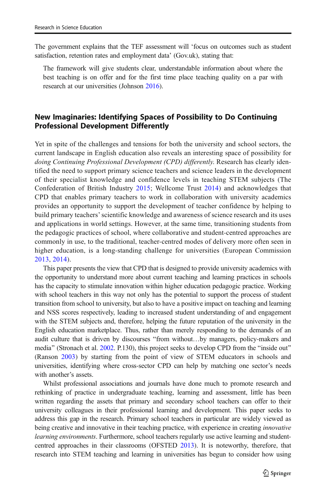The government explains that the TEF assessment will 'focus on outcomes such as student satisfaction, retention rates and employment data' (Gov.uk), stating that:

The framework will give students clear, understandable information about where the best teaching is on offer and for the first time place teaching quality on a par with research at our universities (Johnson [2016\)](#page-18-0).

### New Imaginaries: Identifying Spaces of Possibility to Do Continuing Professional Development Differently

Yet in spite of the challenges and tensions for both the university and school sectors, the current landscape in English education also reveals an interesting space of possibility for doing Continuing Professional Development (CPD) differently. Research has clearly identified the need to support primary science teachers and science leaders in the development of their specialist knowledge and confidence levels in teaching STEM subjects (The Confederation of British Industry [2015;](#page-17-0) Wellcome Trust [2014](#page-18-0)) and acknowledges that CPD that enables primary teachers to work in collaboration with university academics provides an opportunity to support the development of teacher confidence by helping to build primary teachers'scientific knowledge and awareness of science research and its uses and applications in world settings. However, at the same time, transitioning students from the pedagogic practices of school, where collaborative and student-centred approaches are commonly in use, to the traditional, teacher-centred modes of delivery more often seen in higher education, is a long-standing challenge for universities (European Commission [2013](#page-17-0), [2014](#page-17-0)).

This paper presents the view that CPD that is designed to provide university academics with the opportunity to understand more about current teaching and learning practices in schools has the capacity to stimulate innovation within higher education pedagogic practice. Working with school teachers in this way not only has the potential to support the process of student transition from school to university, but also to have a positive impact on teaching and learning and NSS scores respectively, leading to increased student understanding of and engagement with the STEM subjects and, therefore, helping the future reputation of the university in the English education marketplace. Thus, rather than merely responding to the demands of an audit culture that is driven by discourses "from without...by managers, policy-makers and media" (Stronach et al. [2002](#page-18-0). P.130), this project seeks to develop CPD from the "inside out" (Ranson [2003\)](#page-18-0) by starting from the point of view of STEM educators in schools and universities, identifying where cross-sector CPD can help by matching one sector's needs with another's assets.

Whilst professional associations and journals have done much to promote research and rethinking of practice in undergraduate teaching, learning and assessment, little has been written regarding the assets that primary and secondary school teachers can offer to their university colleagues in their professional learning and development. This paper seeks to address this gap in the research. Primary school teachers in particular are widely viewed as being creative and innovative in their teaching practice, with experience in creating *innovative* learning environments. Furthermore, school teachers regularly use active learning and studentcentred approaches in their classrooms (OFSTED [2013\)](#page-18-0). It is noteworthy, therefore, that research into STEM teaching and learning in universities has begun to consider how using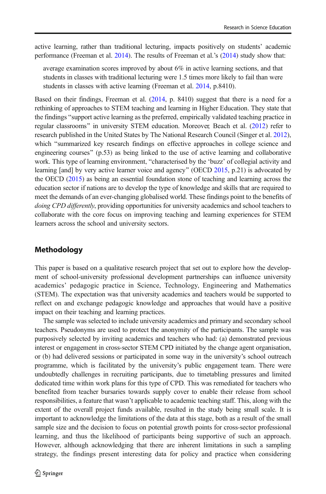active learning, rather than traditional lecturing, impacts positively on students' academic performance (Freeman et al. [2014\)](#page-17-0). The results of Freeman et al.'s ([2014](#page-17-0)) study show that:

average examination scores improved by about 6% in active learning sections, and that students in classes with traditional lecturing were 1.5 times more likely to fail than were students in classes with active learning (Freeman et al. [2014](#page-17-0), p.8410).

Based on their findings, Freeman et al. [\(2014,](#page-17-0) p. 8410) suggest that there is a need for a rethinking of approaches to STEM teaching and learning in Higher Education. They state that the findings "support active learning as the preferred, empirically validated teaching practice in regular classrooms^ in university STEM education. Moreover, Beach et al. ([2012](#page-17-0)) refer to research published in the United States by The National Research Council (Singer et al. [2012](#page-18-0)), which "summarized key research findings on effective approaches in college science and engineering courses"  $(p.53)$  as being linked to the use of active learning and collaborative work. This type of learning environment, "characterised by the 'buzz' of collegial activity and learning [and] by very active learner voice and agency" (OECD [2015](#page-18-0), p.21) is advocated by the OECD [\(2015\)](#page-18-0) as being an essential foundation stone of teaching and learning across the education sector if nations are to develop the type of knowledge and skills that are required to meet the demands of an ever-changing globalised world. These findings point to the benefits of doing CPD differently, providing opportunities for university academics and school teachers to collaborate with the core focus on improving teaching and learning experiences for STEM learners across the school and university sectors.

### Methodology

This paper is based on a qualitative research project that set out to explore how the development of school-university professional development partnerships can influence university academics' pedagogic practice in Science, Technology, Engineering and Mathematics (STEM). The expectation was that university academics and teachers would be supported to reflect on and exchange pedagogic knowledge and approaches that would have a positive impact on their teaching and learning practices.

The sample was selected to include university academics and primary and secondary school teachers. Pseudonyms are used to protect the anonymity of the participants. The sample was purposively selected by inviting academics and teachers who had: (a) demonstrated previous interest or engagement in cross-sector STEM CPD initiated by the change agent organisation, or (b) had delivered sessions or participated in some way in the university's school outreach programme, which is facilitated by the university's public engagement team. There were undoubtedly challenges in recruiting participants, due to timetabling pressures and limited dedicated time within work plans for this type of CPD. This was remediated for teachers who benefited from teacher bursaries towards supply cover to enable their release from school responsibilities, a feature that wasn't applicable to academic teaching staff. This, along with the extent of the overall project funds available, resulted in the study being small scale. It is important to acknowledge the limitations of the data at this stage, both as a result of the small sample size and the decision to focus on potential growth points for cross-sector professional learning, and thus the likelihood of participants being supportive of such an approach. However, although acknowledging that there are inherent limitations in such a sampling strategy, the findings present interesting data for policy and practice when considering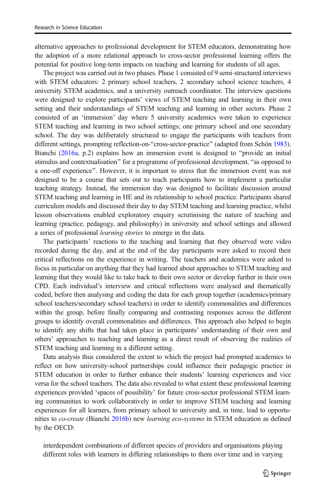alternative approaches to professional development for STEM educators, demonstrating how the adoption of a more relational approach to cross-sector professional learning offers the potential for positive long-term impacts on teaching and learning for students of all ages.

The project was carried out in two phases. Phase 1 consisted of 9 semi-structured interviews with STEM educators: 2 primary school teachers, 2 secondary school science teachers, 4 university STEM academics, and a university outreach coordinator. The interview questions were designed to explore participants' views of STEM teaching and learning in their own setting and their understandings of STEM teaching and learning in other sectors. Phase 2 consisted of an 'immersion' day where 5 university academics were taken to experience STEM teaching and learning in two school settings; one primary school and one secondary school. The day was deliberately structured to engage the participants with teachers from different settings, prompting reflection-on-"cross-sector-practice" (adapted from Schön [1983](#page-18-0)). Bianchi  $(2016a, p.2)$  $(2016a, p.2)$  explains how an immersion event is designed to "provide an initial stimulus and contextualisation" for a programme of professional development, "as opposed to a one-off experience^. However, it is important to stress that the immersion event was not designed to be a course that sets out to teach participants how to implement a particular teaching strategy. Instead, the immersion day was designed to facilitate discussion around STEM teaching and learning in HE and its relationship to school practice. Participants shared curriculum models and discussed their day to day STEM teaching and learning practice, whilst lesson observations enabled exploratory enquiry scrutinising the nature of teaching and learning (practice, pedagogy, and philosophy) in university and school settings and allowed a series of professional learning stories to emerge in the data.

The participants' reactions to the teaching and learning that they observed were video recorded during the day, and at the end of the day participants were asked to record their critical reflections on the experience in writing. The teachers and academics were asked to focus in particular on anything that they had learned about approaches to STEM teaching and learning that they would like to take back to their own sector or develop further in their own CPD. Each individual's interview and critical reflections were analysed and thematically coded, before then analysing and coding the data for each group together (academics/primary school teachers/secondary school teachers) in order to identify commonalities and differences within the group, before finally comparing and contrasting responses across the different groups to identify overall commonalities and differences. This approach also helped to begin to identify any shifts that had taken place in participants' understanding of their own and others' approaches to teaching and learning as a direct result of observing the realities of STEM teaching and learning in a different setting.

Data analysis thus considered the extent to which the project had prompted academics to reflect on how university-school partnerships could influence their pedagogic practice in STEM education in order to further enhance their students' learning experiences and vice versa for the school teachers. The data also revealed to what extent these professional learning experiences provided 'spaces of possibility' for future cross-sector professional STEM learning communities to work collaboratively in order to improve STEM teaching and learning experiences for all learners, from primary school to university and, in time, lead to opportu-nities to co-create (Bianchi [2016b\)](#page-17-0) new learning eco-systems in STEM education as defined by the OECD:

interdependent combinations of different species of providers and organisations playing different roles with learners in differing relationships to them over time and in varying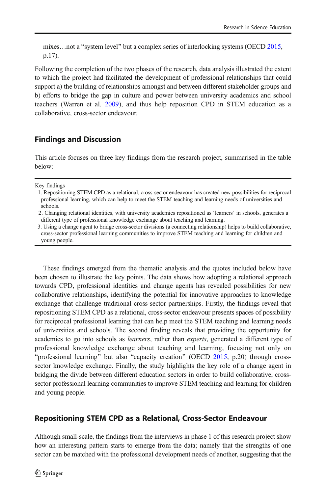mixes...not a "system level" but a complex series of interlocking systems (OECD [2015,](#page-18-0) p.17).

Following the completion of the two phases of the research, data analysis illustrated the extent to which the project had facilitated the development of professional relationships that could support a) the building of relationships amongst and between different stakeholder groups and b) efforts to bridge the gap in culture and power between university academics and school teachers (Warren et al. [2009](#page-18-0)), and thus help reposition CPD in STEM education as a collaborative, cross-sector endeavour.

## Findings and Discussion

This article focuses on three key findings from the research project, summarised in the table below:

Key findings

These findings emerged from the thematic analysis and the quotes included below have been chosen to illustrate the key points. The data shows how adopting a relational approach towards CPD, professional identities and change agents has revealed possibilities for new collaborative relationships, identifying the potential for innovative approaches to knowledge exchange that challenge traditional cross-sector partnerships. Firstly, the findings reveal that repositioning STEM CPD as a relational, cross-sector endeavour presents spaces of possibility for reciprocal professional learning that can help meet the STEM teaching and learning needs of universities and schools. The second finding reveals that providing the opportunity for academics to go into schools as *learners*, rather than *experts*, generated a different type of professional knowledge exchange about teaching and learning, focusing not only on "professional learning" but also "capacity creation" (OECD [2015](#page-18-0), p.20) through crosssector knowledge exchange. Finally, the study highlights the key role of a change agent in bridging the divide between different education sectors in order to build collaborative, crosssector professional learning communities to improve STEM teaching and learning for children and young people.

## Repositioning STEM CPD as a Relational, Cross-Sector Endeavour

Although small-scale, the findings from the interviews in phase 1 of this research project show how an interesting pattern starts to emerge from the data; namely that the strengths of one sector can be matched with the professional development needs of another, suggesting that the

<sup>1.</sup> Repositioning STEM CPD as a relational, cross-sector endeavour has created new possibilities for reciprocal professional learning, which can help to meet the STEM teaching and learning needs of universities and schools.

<sup>2.</sup> Changing relational identities, with university academics repositioned as 'learners' in schools, generates a different type of professional knowledge exchange about teaching and learning.

<sup>3.</sup> Using a change agent to bridge cross-sector divisions (a connecting relationship) helps to build collaborative, cross-sector professional learning communities to improve STEM teaching and learning for children and young people.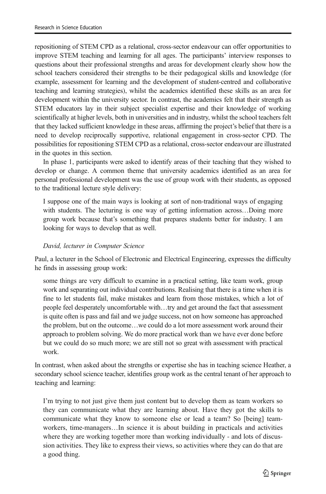repositioning of STEM CPD as a relational, cross-sector endeavour can offer opportunities to improve STEM teaching and learning for all ages. The participants' interview responses to questions about their professional strengths and areas for development clearly show how the school teachers considered their strengths to be their pedagogical skills and knowledge (for example, assessment for learning and the development of student-centred and collaborative teaching and learning strategies), whilst the academics identified these skills as an area for development within the university sector. In contrast, the academics felt that their strength as STEM educators lay in their subject specialist expertise and their knowledge of working scientifically at higher levels, both in universities and in industry, whilst the school teachers felt that they lacked sufficient knowledge in these areas, affirming the project's belief that there is a need to develop reciprocally supportive, relational engagement in cross-sector CPD. The possibilities for repositioning STEM CPD as a relational, cross-sector endeavour are illustrated in the quotes in this section.

In phase 1, participants were asked to identify areas of their teaching that they wished to develop or change. A common theme that university academics identified as an area for personal professional development was the use of group work with their students, as opposed to the traditional lecture style delivery:

I suppose one of the main ways is looking at sort of non-traditional ways of engaging with students. The lecturing is one way of getting information across...Doing more group work because that's something that prepares students better for industry. I am looking for ways to develop that as well.

### David, lecturer in Computer Science

Paul, a lecturer in the School of Electronic and Electrical Engineering, expresses the difficulty he finds in assessing group work:

some things are very difficult to examine in a practical setting, like team work, group work and separating out individual contributions. Realising that there is a time when it is fine to let students fail, make mistakes and learn from those mistakes, which a lot of people feel desperately uncomfortable with…try and get around the fact that assessment is quite often is pass and fail and we judge success, not on how someone has approached the problem, but on the outcome…we could do a lot more assessment work around their approach to problem solving. We do more practical work than we have ever done before but we could do so much more; we are still not so great with assessment with practical work.

In contrast, when asked about the strengths or expertise she has in teaching science Heather, a secondary school science teacher, identifies group work as the central tenant of her approach to teaching and learning:

I'm trying to not just give them just content but to develop them as team workers so they can communicate what they are learning about. Have they got the skills to communicate what they know to someone else or lead a team? So [being] teamworkers, time-managers…In science it is about building in practicals and activities where they are working together more than working individually - and lots of discussion activities. They like to express their views, so activities where they can do that are a good thing.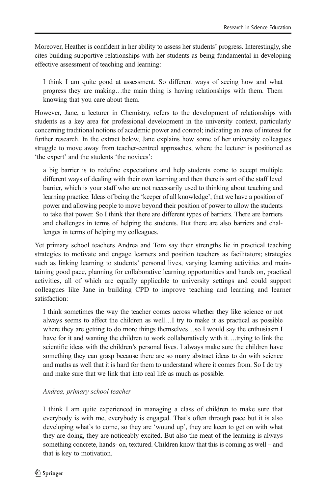Moreover, Heather is confident in her ability to assess her students' progress. Interestingly, she cites building supportive relationships with her students as being fundamental in developing effective assessment of teaching and learning:

I think I am quite good at assessment. So different ways of seeing how and what progress they are making…the main thing is having relationships with them. Them knowing that you care about them.

However, Jane, a lecturer in Chemistry, refers to the development of relationships with students as a key area for professional development in the university context, particularly concerning traditional notions of academic power and control; indicating an area of interest for further research. In the extract below, Jane explains how some of her university colleagues struggle to move away from teacher-centred approaches, where the lecturer is positioned as 'the expert' and the students 'the novices':

a big barrier is to redefine expectations and help students come to accept multiple different ways of dealing with their own learning and then there is sort of the staff level barrier, which is your staff who are not necessarily used to thinking about teaching and learning practice. Ideas of being the 'keeper of all knowledge', that we have a position of power and allowing people to move beyond their position of power to allow the students to take that power. So I think that there are different types of barriers. There are barriers and challenges in terms of helping the students. But there are also barriers and challenges in terms of helping my colleagues.

Yet primary school teachers Andrea and Tom say their strengths lie in practical teaching strategies to motivate and engage learners and position teachers as facilitators; strategies such as linking learning to students' personal lives, varying learning activities and maintaining good pace, planning for collaborative learning opportunities and hands on, practical activities, all of which are equally applicable to university settings and could support colleagues like Jane in building CPD to improve teaching and learning and learner satisfaction:

I think sometimes the way the teacher comes across whether they like science or not always seems to affect the children as well…I try to make it as practical as possible where they are getting to do more things themselves…so I would say the enthusiasm I have for it and wanting the children to work collaboratively with it….trying to link the scientific ideas with the children's personal lives. I always make sure the children have something they can grasp because there are so many abstract ideas to do with science and maths as well that it is hard for them to understand where it comes from. So I do try and make sure that we link that into real life as much as possible.

## Andrea, primary school teacher

I think I am quite experienced in managing a class of children to make sure that everybody is with me, everybody is engaged. That's often through pace but it is also developing what's to come, so they are 'wound up', they are keen to get on with what they are doing, they are noticeably excited. But also the meat of the learning is always something concrete, hands- on, textured. Children know that this is coming as well – and that is key to motivation.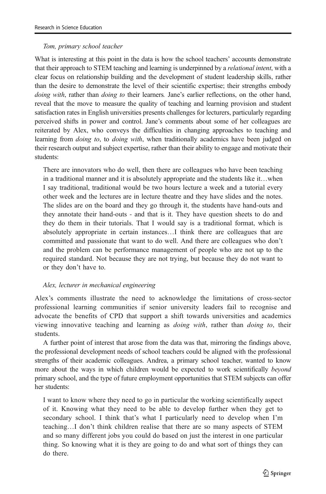### Tom, primary school teacher

What is interesting at this point in the data is how the school teachers' accounts demonstrate that their approach to STEM teaching and learning is underpinned by a *relational intent*, with a clear focus on relationship building and the development of student leadership skills, rather than the desire to demonstrate the level of their scientific expertise; their strengths embody doing with, rather than *doing to* their learners. Jane's earlier reflections, on the other hand, reveal that the move to measure the quality of teaching and learning provision and student satisfaction rates in English universities presents challenges for lecturers, particularly regarding perceived shifts in power and control. Jane's comments about some of her colleagues are reiterated by Alex, who conveys the difficulties in changing approaches to teaching and learning from *doing to*, to *doing with*, when traditionally academics have been judged on their research output and subject expertise, rather than their ability to engage and motivate their students:

There are innovators who do well, then there are colleagues who have been teaching in a traditional manner and it is absolutely appropriate and the students like it…when I say traditional, traditional would be two hours lecture a week and a tutorial every other week and the lectures are in lecture theatre and they have slides and the notes. The slides are on the board and they go through it, the students have hand-outs and they annotate their hand-outs - and that is it. They have question sheets to do and they do them in their tutorials. That I would say is a traditional format, which is absolutely appropriate in certain instances…I think there are colleagues that are committed and passionate that want to do well. And there are colleagues who don't and the problem can be performance management of people who are not up to the required standard. Not because they are not trying, but because they do not want to or they don't have to.

#### Alex, lecturer in mechanical engineering

Alex's comments illustrate the need to acknowledge the limitations of cross-sector professional learning communities if senior university leaders fail to recognise and advocate the benefits of CPD that support a shift towards universities and academics viewing innovative teaching and learning as *doing with*, rather than *doing to*, their students.

A further point of interest that arose from the data was that, mirroring the findings above, the professional development needs of school teachers could be aligned with the professional strengths of their academic colleagues. Andrea, a primary school teacher, wanted to know more about the ways in which children would be expected to work scientifically *beyond* primary school, and the type of future employment opportunities that STEM subjects can offer her students:

I want to know where they need to go in particular the working scientifically aspect of it. Knowing what they need to be able to develop further when they get to secondary school. I think that's what I particularly need to develop when I'm teaching…I don't think children realise that there are so many aspects of STEM and so many different jobs you could do based on just the interest in one particular thing. So knowing what it is they are going to do and what sort of things they can do there.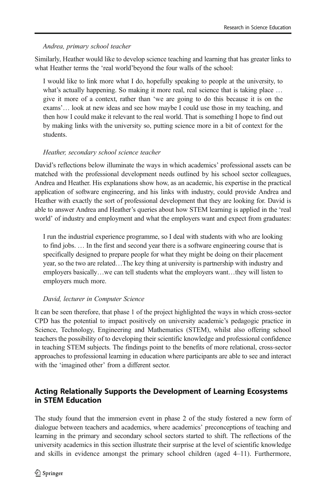### Andrea, primary school teacher

Similarly, Heather would like to develop science teaching and learning that has greater links to what Heather terms the 'real world'beyond the four walls of the school:

I would like to link more what I do, hopefully speaking to people at the university, to what's actually happening. So making it more real, real science that is taking place ... give it more of a context, rather than 'we are going to do this because it is on the exams'… look at new ideas and see how maybe I could use those in my teaching, and then how I could make it relevant to the real world. That is something I hope to find out by making links with the university so, putting science more in a bit of context for the students.

### Heather, secondary school science teacher

David's reflections below illuminate the ways in which academics' professional assets can be matched with the professional development needs outlined by his school sector colleagues, Andrea and Heather. His explanations show how, as an academic, his expertise in the practical application of software engineering, and his links with industry, could provide Andrea and Heather with exactly the sort of professional development that they are looking for. David is able to answer Andrea and Heather's queries about how STEM learning is applied in the 'real world' of industry and employment and what the employers want and expect from graduates:

I run the industrial experience programme, so I deal with students with who are looking to find jobs. … In the first and second year there is a software engineering course that is specifically designed to prepare people for what they might be doing on their placement year, so the two are related…The key thing at university is partnership with industry and employers basically…we can tell students what the employers want…they will listen to employers much more.

### David, lecturer in Computer Science

It can be seen therefore, that phase 1 of the project highlighted the ways in which cross-sector CPD has the potential to impact positively on university academic's pedagogic practice in Science, Technology, Engineering and Mathematics (STEM), whilst also offering school teachers the possibility of to developing their scientific knowledge and professional confidence in teaching STEM subjects. The findings point to the benefits of more relational, cross-sector approaches to professional learning in education where participants are able to see and interact with the 'imagined other' from a different sector.

## Acting Relationally Supports the Development of Learning Ecosystems in STEM Education

The study found that the immersion event in phase 2 of the study fostered a new form of dialogue between teachers and academics, where academics' preconceptions of teaching and learning in the primary and secondary school sectors started to shift. The reflections of the university academics in this section illustrate their surprise at the level of scientific knowledge and skills in evidence amongst the primary school children (aged 4–11). Furthermore,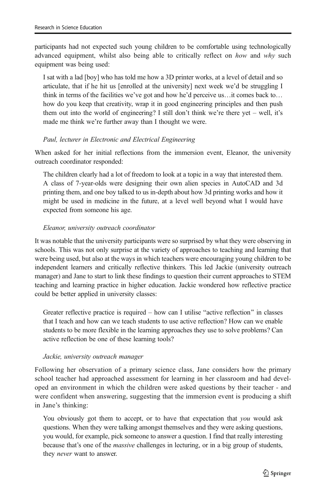participants had not expected such young children to be comfortable using technologically advanced equipment, whilst also being able to critically reflect on how and why such equipment was being used:

I sat with a lad [boy] who has told me how a 3D printer works, at a level of detail and so articulate, that if he hit us [enrolled at the university] next week we'd be struggling I think in terms of the facilities we've got and how he'd perceive us…it comes back to… how do you keep that creativity, wrap it in good engineering principles and then push them out into the world of engineering? I still don't think we're there yet – well, it's made me think we're further away than I thought we were.

### Paul, lecturer in Electronic and Electrical Engineering

When asked for her initial reflections from the immersion event, Eleanor, the university outreach coordinator responded:

The children clearly had a lot of freedom to look at a topic in a way that interested them. A class of 7-year-olds were designing their own alien species in AutoCAD and 3d printing them, and one boy talked to us in-depth about how 3d printing works and how it might be used in medicine in the future, at a level well beyond what I would have expected from someone his age.

### Eleanor, university outreach coordinator

It was notable that the university participants were so surprised by what they were observing in schools. This was not only surprise at the variety of approaches to teaching and learning that were being used, but also at the ways in which teachers were encouraging young children to be independent learners and critically reflective thinkers. This led Jackie (university outreach manager) and Jane to start to link these findings to question their current approaches to STEM teaching and learning practice in higher education. Jackie wondered how reflective practice could be better applied in university classes:

Greater reflective practice is required  $-$  how can I utilise "active reflection" in classes that I teach and how can we teach students to use active reflection? How can we enable students to be more flexible in the learning approaches they use to solve problems? Can active reflection be one of these learning tools?

### Jackie, university outreach manager

Following her observation of a primary science class, Jane considers how the primary school teacher had approached assessment for learning in her classroom and had developed an environment in which the children were asked questions by their teacher - and were confident when answering, suggesting that the immersion event is producing a shift in Jane's thinking:

You obviously got them to accept, or to have that expectation that you would ask questions. When they were talking amongst themselves and they were asking questions, you would, for example, pick someone to answer a question. I find that really interesting because that's one of the *massive* challenges in lecturing, or in a big group of students, they *never* want to answer.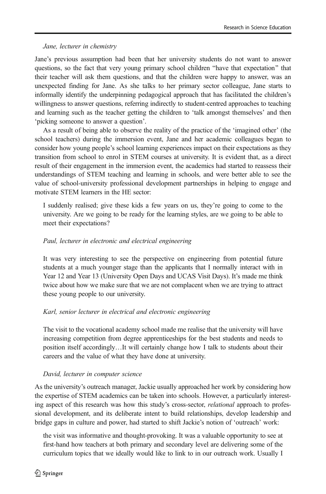### Jane, lecturer in chemistry

Jane's previous assumption had been that her university students do not want to answer questions, so the fact that very young primary school children "have that expectation" that their teacher will ask them questions, and that the children were happy to answer, was an unexpected finding for Jane. As she talks to her primary sector colleague, Jane starts to informally identify the underpinning pedagogical approach that has facilitated the children's willingness to answer questions, referring indirectly to student-centred approaches to teaching and learning such as the teacher getting the children to 'talk amongst themselves' and then 'picking someone to answer a question'.

As a result of being able to observe the reality of the practice of the 'imagined other' (the school teachers) during the immersion event, Jane and her academic colleagues began to consider how young people's school learning experiences impact on their expectations as they transition from school to enrol in STEM courses at university. It is evident that, as a direct result of their engagement in the immersion event, the academics had started to reassess their understandings of STEM teaching and learning in schools, and were better able to see the value of school-university professional development partnerships in helping to engage and motivate STEM learners in the HE sector:

I suddenly realised; give these kids a few years on us, they're going to come to the university. Are we going to be ready for the learning styles, are we going to be able to meet their expectations?

### Paul, lecturer in electronic and electrical engineering

It was very interesting to see the perspective on engineering from potential future students at a much younger stage than the applicants that I normally interact with in Year 12 and Year 13 (University Open Days and UCAS Visit Days). It's made me think twice about how we make sure that we are not complacent when we are trying to attract these young people to our university.

### Karl, senior lecturer in electrical and electronic engineering

The visit to the vocational academy school made me realise that the university will have increasing competition from degree apprenticeships for the best students and needs to position itself accordingly…It will certainly change how I talk to students about their careers and the value of what they have done at university.

### David, lecturer in computer science

As the university's outreach manager, Jackie usually approached her work by considering how the expertise of STEM academics can be taken into schools. However, a particularly interesting aspect of this research was how this study's cross-sector, *relational* approach to professional development, and its deliberate intent to build relationships, develop leadership and bridge gaps in culture and power, had started to shift Jackie's notion of 'outreach' work:

the visit was informative and thought-provoking. It was a valuable opportunity to see at first-hand how teachers at both primary and secondary level are delivering some of the curriculum topics that we ideally would like to link to in our outreach work. Usually I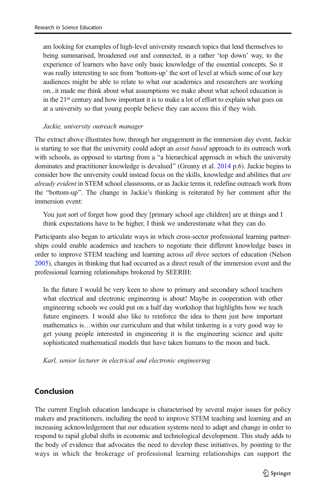am looking for examples of high-level university research topics that lend themselves to being summarised, broadened out and connected, in a rather 'top down' way, to the experience of learners who have only basic knowledge of the essential concepts. So it was really interesting to see from 'bottom-up' the sort of level at which some of our key audiences might be able to relate to what our academics and researchers are working on...it made me think about what assumptions we make about what school education is in the  $21^{st}$  century and how important it is to make a lot of effort to explain what goes on at a university so that young people believe they can access this if they wish.

#### Jackie, university outreach manager

The extract above illustrates how, through her engagement in the immersion day event, Jackie is starting to see that the university could adopt an *asset based* approach to its outreach work with schools, as opposed to starting from a "a hierarchical approach in which the university dominates and practitioner knowledge is devalued" (Greany et al. [2014](#page-18-0) p.6). Jackie begins to consider how the university could instead focus on the skills, knowledge and abilities that *are* already evident in STEM school classrooms, or as Jackie terms it, redefine outreach work from the "bottom-up". The change in Jackie's thinking is reiterated by her comment after the immersion event:

You just sort of forget how good they [primary school age children] are at things and I think expectations have to be higher, I think we underestimate what they can do.

Participants also began to articulate ways in which cross-sector professional learning partnerships could enable academics and teachers to negotiate their different knowledge bases in order to improve STEM teaching and learning across *all three* sectors of education (Nelson [2005](#page-18-0)), changes in thinking that had occurred as a direct result of the immersion event and the professional learning relationships brokered by SEERIH:

In the future I would be very keen to show to primary and secondary school teachers what electrical and electronic engineering is about! Maybe in cooperation with other engineering schools we could put on a half day workshop that highlights how we teach future engineers. I would also like to reinforce the idea to them just how important mathematics is…within our curriculum and that whilst tinkering is a very good way to get young people interested in engineering it is the engineering science and quite sophisticated mathematical models that have taken humans to the moon and back.

Karl, senior lecturer in electrical and electronic engineering

## Conclusion

The current English education landscape is characterised by several major issues for policy makers and practitioners, including the need to improve STEM teaching and learning and an increasing acknowledgement that our education systems need to adapt and change in order to respond to rapid global shifts in economic and technological development. This study adds to the body of evidence that advocates the need to develop these initiatives, by pointing to the ways in which the brokerage of professional learning relationships can support the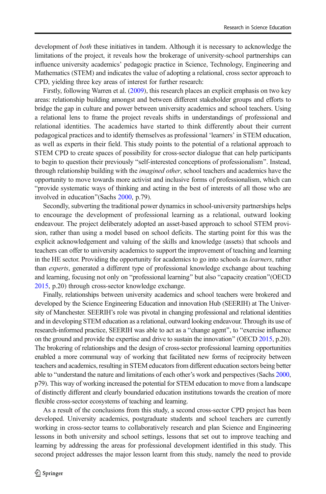development of *both* these initiatives in tandem. Although it is necessary to acknowledge the limitations of the project, it reveals how the brokerage of university-school partnerships can influence university academics' pedagogic practice in Science, Technology, Engineering and Mathematics (STEM) and indicates the value of adopting a relational, cross sector approach to CPD, yielding three key areas of interest for further research:

Firstly, following Warren et al. ([2009](#page-18-0)), this research places an explicit emphasis on two key areas: relationship building amongst and between different stakeholder groups and efforts to bridge the gap in culture and power between university academics and school teachers. Using a relational lens to frame the project reveals shifts in understandings of professional and relational identities. The academics have started to think differently about their current pedagogical practices and to identify themselves as professional 'learners' in STEM education, as well as experts in their field. This study points to the potential of a relational approach to STEM CPD to create spaces of possibility for cross-sector dialogue that can help participants to begin to question their previously "self-interested conceptions of professionalism". Instead, through relationship building with the *imagined other*, school teachers and academics have the opportunity to move towards more activist and inclusive forms of professionalism, which can "provide systematic ways of thinking and acting in the best of interests of all those who are involved in education" (Sachs [2000,](#page-18-0) p.79).

Secondly, subverting the traditional power dynamics in school-university partnerships helps to encourage the development of professional learning as a relational, outward looking endeavour. The project deliberately adopted an asset-based approach to school STEM provision, rather than using a model based on school deficits. The starting point for this was the explicit acknowledgement and valuing of the skills and knowledge (assets) that schools and teachers can offer to university academics to support the improvement of teaching and learning in the HE sector. Providing the opportunity for academics to go into schools as learners, rather than experts, generated a different type of professional knowledge exchange about teaching and learning, focusing not only on "professional learning" but also "capacity creation"(OECD [2015](#page-18-0), p.20) through cross-sector knowledge exchange.

Finally, relationships between university academics and school teachers were brokered and developed by the Science Engineering Education and innovation Hub (SEERIH) at The University of Manchester. SEERIH's role was pivotal in changing professional and relational identities and in developing STEM education as a relational, outward looking endeavour. Through its use of research-informed practice, SEERIH was able to act as a "change agent", to "exercise influence on the ground and provide the expertise and drive to sustain the innovation" (OECD [2015](#page-18-0), p.20). The brokering of relationships and the design of cross-sector professional learning opportunities enabled a more communal way of working that facilitated new forms of reciprocity between teachers and academics, resulting in STEM educators from different education sectors being better able to "understand the nature and limitations of each other's work and perspectives (Sachs [2000](#page-18-0), p79). This way of working increased the potential for STEM education to move from a landscape of distinctly different and clearly boundaried education institutions towards the creation of more flexible cross-sector ecosystems of teaching and learning.

As a result of the conclusions from this study, a second cross-sector CPD project has been developed. University academics, postgraduate students and school teachers are currently working in cross-sector teams to collaboratively research and plan Science and Engineering lessons in both university and school settings, lessons that set out to improve teaching and learning by addressing the areas for professional development identified in this study. This second project addresses the major lesson learnt from this study, namely the need to provide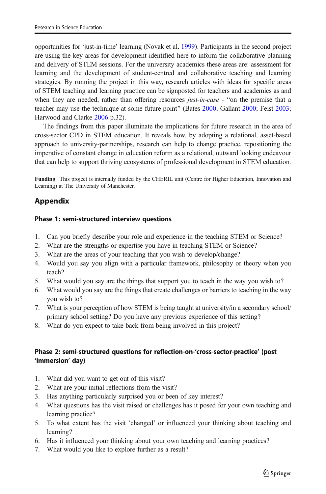opportunities for 'just-in-time' learning (Novak et al. [1999\)](#page-18-0). Participants in the second project are using the key areas for development identified here to inform the collaborative planning and delivery of STEM sessions. For the university academics these areas are: assessment for learning and the development of student-centred and collaborative teaching and learning strategies. By running the project in this way, research articles with ideas for specific areas of STEM teaching and learning practice can be signposted for teachers and academics as and when they are needed, rather than offering resources *just-in-case*  $-$  "on the premise that a teacher may use the technique at some future point" (Bates [2000](#page-17-0); Gallant 2000; Feist [2003](#page-17-0); Harwood and Clarke [2006](#page-18-0) p.32).

The findings from this paper illuminate the implications for future research in the area of cross-sector CPD in STEM education. It reveals how, by adopting a relational, asset-based approach to university-partnerships, research can help to change practice, repositioning the imperative of constant change in education reform as a relational, outward looking endeavour that can help to support thriving ecosystems of professional development in STEM education.

Funding This project is internally funded by the CHERIL unit (Centre for Higher Education, Innovation and Learning) at The University of Manchester.

## Appendix

### Phase 1: semi-structured interview questions

- 1. Can you briefly describe your role and experience in the teaching STEM or Science?
- 2. What are the strengths or expertise you have in teaching STEM or Science?
- 3. What are the areas of your teaching that you wish to develop/change?
- 4. Would you say you align with a particular framework, philosophy or theory when you teach?
- 5. What would you say are the things that support you to teach in the way you wish to?
- 6. What would you say are the things that create challenges or barriers to teaching in the way you wish to?
- 7. What is your perception of how STEM is being taught at university/in a secondary school/ primary school setting? Do you have any previous experience of this setting?
- 8. What do you expect to take back from being involved in this project?

### Phase 2: semi-structured questions for reflection-on-'cross-sector-practice' (post 'immersion' day)

- 1. What did you want to get out of this visit?
- 2. What are your initial reflections from the visit?
- 3. Has anything particularly surprised you or been of key interest?
- 4. What questions has the visit raised or challenges has it posed for your own teaching and learning practice?
- 5. To what extent has the visit 'changed' or influenced your thinking about teaching and learning?
- 6. Has it influenced your thinking about your own teaching and learning practices?
- 7. What would you like to explore further as a result?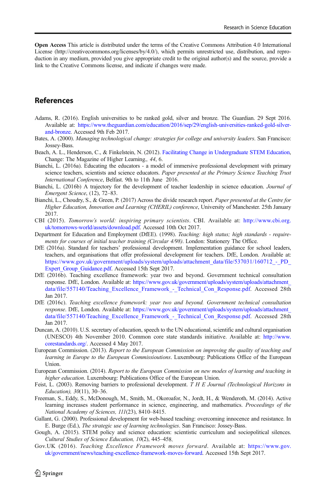<span id="page-17-0"></span>Open Access This article is distributed under the terms of the Creative Commons Attribution 4.0 International License (http://creativecommons.org/licenses/by/4.0/), which permits unrestricted use, distribution, and reproduction in any medium, provided you give appropriate credit to the original author(s) and the source, provide a link to the Creative Commons license, and indicate if changes were made.

## References

- Adams, R. (2016). English universities to be ranked gold, silver and bronze. The Guardian. 29 Sept 2016. Available at: [https://www.theguardian.com/education/2016/sep/29/english-universities-ranked-gold-silver](https://www.theguardian.com/education/2016/sep/29/english-universities-ranked-gold-silver-and-bronze)[and-bronze](https://www.theguardian.com/education/2016/sep/29/english-universities-ranked-gold-silver-and-bronze). Accessed 9th Feb 2017.
- Bates, A. (2000). Managing technological change: strategies for college and university leaders. San Francisco: Jossey-Bass.
- Beach, A. L., Henderson, C., & Finkelstein, N. (2012). [Facilitating Change in Undergraduate STEM Education,](http://www.tandfonline.com/doi/abs/10.1080/00091383.2012.728955) Change: The Magazine of Higher Learning., 44, 6.
- Bianchi, L. (2016a). Educating the educators a model of immersive professional development with primary science teachers, scientists and science educators. Paper presented at the Primary Science Teaching Trust International Conference, Belfast. 9th to 11th June 2016.
- Bianchi, L. (2016b) A trajectory for the development of teacher leadership in science education. Journal of Emergent Science, (12), 72–83.
- Bianchi, L., Choudry, S., & Green, P. (2017) Across the divide research report. Paper presented at the Centre for Higher Education, Innovation and Learning (CHERIL) conference, University of Manchester. 25th January 2017.
- CBI (2015). Tomorrow's world: inspiring primary scientists. CBI. Available at: [http://www.cbi.org.](http://www.cbi.org.uk/tomorrows-world/assets/download.pdf) [uk/tomorrows-world/assets/download.pdf](http://www.cbi.org.uk/tomorrows-world/assets/download.pdf). Accessed 10th Oct 2017.
- Department for Education and Employment (DfEE). (1998). Teaching: high status; high standards requirements for courses of initial teacher training (Circular 4/98). London: Stationery The Office.
- DfE (2016a). Standard for teachers' professional development. Implementation guidance for school leaders, teachers, and organisations that offer professional development for teachers. DfE, London. Available at: [https://www.gov.uk/government/uploads/system/uploads/attachment\\_data/file/537031/160712\\_-\\_PD\\_](https://www.gov.uk/government/uploads/system/uploads/attachment_data/file/537031/160712_-_PD_Expert_Group_Guidance.pdf) Expert Group Guidance.pdf. Accessed 15th Sept 2017.
- DfE (2016b). Teaching excellence framework: year two and beyond. Government technical consultation response. DfE, London. Available at: [https://www.gov.uk/government/uploads/system/uploads/attachment\\_](https://www.gov.uk/government/uploads/system/uploads/attachment_data/file/557140/Teaching_Excellence_Framework_-_Technical_Con_Response.pdf) data/file/557140/Teaching\_Excellence\_Framework - Technical\_Con\_Response.pdf. Accessed 28th Jan 2017.
- DfE (2016c). Teaching excellence framework: year two and beyond. Government technical consultation response. DfE, London. Available at: [https://www.gov.uk/government/uploads/system/uploads/attachment\\_](https://www.gov.uk/government/uploads/system/uploads/attachment_data/file/557140/Teaching_Excellence_Framework_-_Technical_Con_Response.pdf) [data/file/557140/Teaching\\_Excellence\\_Framework\\_-\\_Technical\\_Con\\_Response.pdf](https://www.gov.uk/government/uploads/system/uploads/attachment_data/file/557140/Teaching_Excellence_Framework_-_Technical_Con_Response.pdf). Accessed 28th Jan 2017.
- Duncan, A. (2010). U.S. secretary of education, speech to the UN educational, scientific and cultural organisation (UNESCO) 4th November 2010. Common core state standards initiative. Available at: [http://www.](http://www.corestandards.org/) [corestandards.org/.](http://www.corestandards.org/) Accessed 4 May 2017.
- European Commission. (2013). Report to the European Commission on improving the quality of teaching and learning in Europe to the European Commissioutions. Luxembourg: Publications Office of the European Union.
- European Commission. (2014). Report to the European Commission on new modes of learning and teaching in higher education. Luxembourg: Publications Office of the European Union.
- Feist, L. (2003). Removing barriers to professional development. T H E Journal (Technological Horizons in Education), 30(11), 30–36.
- Freeman, S., Eddy, S., McDonough, M., Smith, M., Okoroafor, N., Jordt, H., & Wenderoth, M. (2014). Active learning increases student performance in science, engineering, and mathematics. Proceedings of the National Academy of Sciences, 111(23), 8410–8415.
- Gallant, G. (2000). Professional development for web-based teaching: overcoming innocence and resistance. In E. Burge (Ed.), The strategic use of learning technologies. San Francisco: Jossey-Bass.
- Gough, A. (2015). STEM policy and science education: scientistic curriculum and sociopolitical silences. Cultural Studies of Science Education, 10(2), 445–458.
- Gov.UK (2016). Teaching Excellence Framework moves forward. Available at: [https://www.gov.](https://www.gov.uk/government/news/teaching-excellence-framework-moves-forward) [uk/government/news/teaching-excellence-framework-moves-forward.](https://www.gov.uk/government/news/teaching-excellence-framework-moves-forward) Accessed 15th Sept 2017.